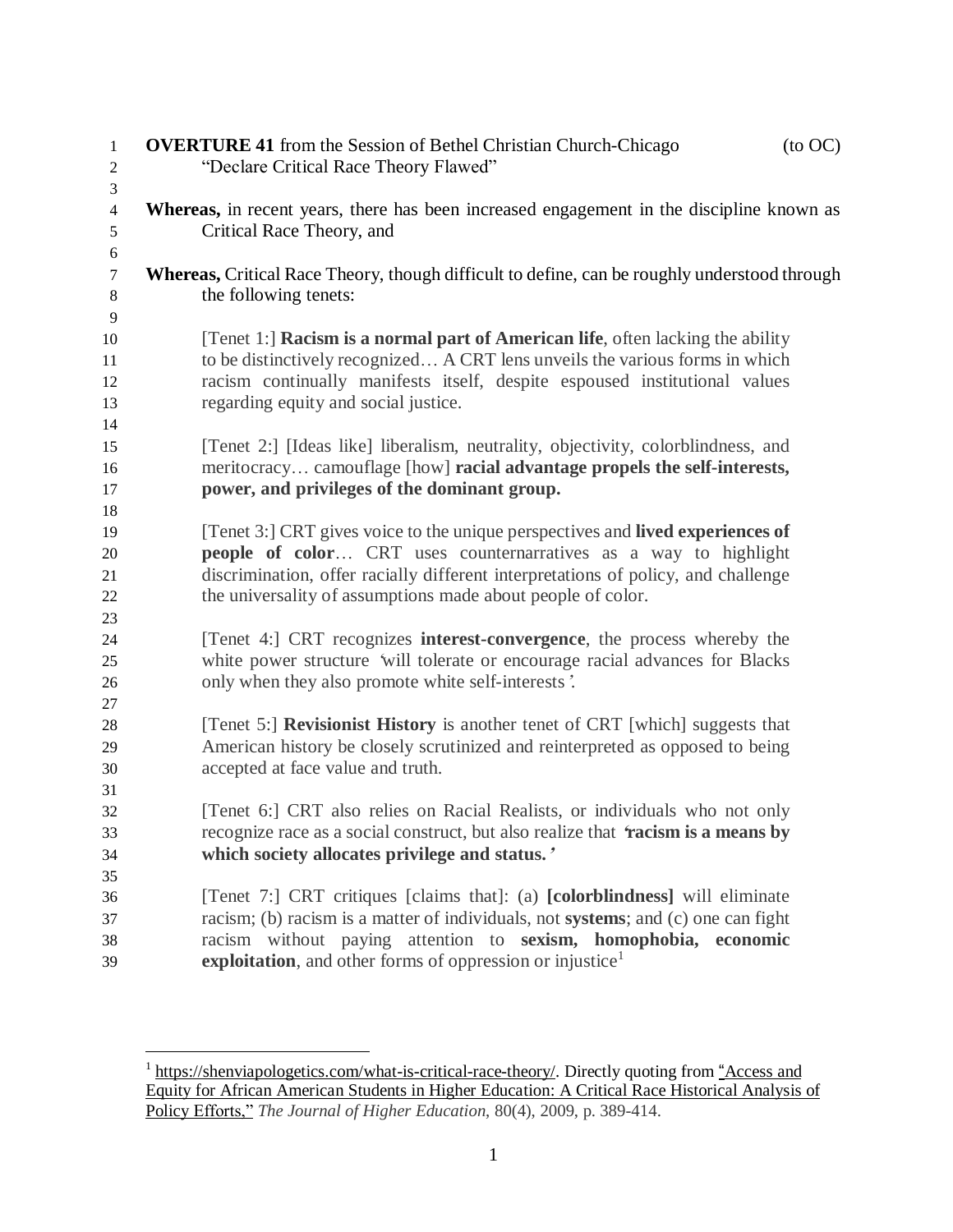| 1<br>$\overline{c}$ | $($ to OC $)$<br><b>OVERTURE 41</b> from the Session of Bethel Christian Church-Chicago<br>"Declare Critical Race Theory Flawed" |
|---------------------|----------------------------------------------------------------------------------------------------------------------------------|
| 3                   |                                                                                                                                  |
| $\overline{4}$      | Whereas, in recent years, there has been increased engagement in the discipline known as                                         |
| 5                   | Critical Race Theory, and                                                                                                        |
| $\sqrt{6}$          |                                                                                                                                  |
| $\tau$              | <b>Whereas, Critical Race Theory, though difficult to define, can be roughly understood through</b>                              |
| $\,8\,$             | the following tenets:                                                                                                            |
| 9                   |                                                                                                                                  |
| 10                  | [Tenet 1:] Racism is a normal part of American life, often lacking the ability                                                   |
| 11                  | to be distinctively recognized A CRT lens unveils the various forms in which                                                     |
| 12                  | racism continually manifests itself, despite espoused institutional values                                                       |
| 13                  | regarding equity and social justice.                                                                                             |
| 14                  |                                                                                                                                  |
| 15                  | [Tenet 2:] [Ideas like] liberalism, neutrality, objectivity, colorblindness, and                                                 |
| 16                  | meritocracy camouflage [how] racial advantage propels the self-interests,                                                        |
| 17                  | power, and privileges of the dominant group.                                                                                     |
| 18                  |                                                                                                                                  |
| 19                  | [Tenet 3:] CRT gives voice to the unique perspectives and lived experiences of                                                   |
| 20                  | <b>people of color</b> CRT uses counternarratives as a way to highlight                                                          |
| 21                  | discrimination, offer racially different interpretations of policy, and challenge                                                |
| 22                  | the universality of assumptions made about people of color.                                                                      |
| 23                  |                                                                                                                                  |
| 24                  | [Tenet 4:] CRT recognizes <b>interest-convergence</b> , the process whereby the                                                  |
| 25                  | white power structure 'will tolerate or encourage racial advances for Blacks                                                     |
| 26                  | only when they also promote white self-interests'.                                                                               |
| 27                  |                                                                                                                                  |
| 28                  | [Tenet 5:] Revisionist History is another tenet of CRT [which] suggests that                                                     |
| 29                  | American history be closely scrutinized and reinterpreted as opposed to being                                                    |
| 30                  | accepted at face value and truth.                                                                                                |
| 31<br>32            | [Tenet 6:] CRT also relies on Racial Realists, or individuals who not only                                                       |
| 33                  | recognize race as a social construct, but also realize that 'racism is a means by                                                |
| 34                  | which society allocates privilege and status.'                                                                                   |
| 35                  |                                                                                                                                  |
| 36                  | [Tenet 7:] CRT critiques [claims that]: (a) [colorblindness] will eliminate                                                      |
| 37                  | racism; (b) racism is a matter of individuals, not <b>systems</b> ; and (c) one can fight                                        |
| 38                  | racism without paying attention to sexism, homophobia, economic                                                                  |
| 39                  | exploitation, and other forms of oppression or injustice <sup>1</sup>                                                            |

<sup>&</sup>lt;sup>1</sup> [https://shenviapologetics.com/what-is-critical-race-theory/.](https://shenviapologetics.com/what-is-critical-race-theory/) Directly quoting from "[Access](https://repository.upenn.edu/cgi/viewcontent.cgi?article=1210&context=gse_pubs) and Equity for African American Students in Higher [Education:](https://repository.upenn.edu/cgi/viewcontent.cgi?article=1210&context=gse_pubs) A Critical Race Historical Analysis of Policy [Efforts,"](https://repository.upenn.edu/cgi/viewcontent.cgi?article=1210&context=gse_pubs) *The Journal of Higher Education*, 80(4), 2009, p. 389-414.